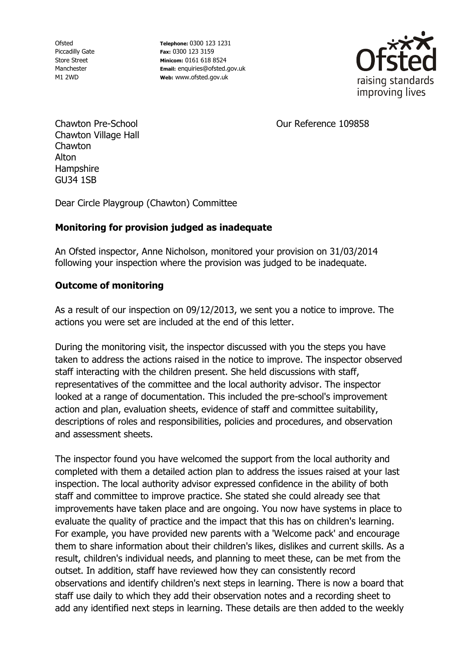Ofsted Piccadilly Gate Store Street Manchester M1 2WD

**Telephone:** 0300 123 1231 **Fax:** 0300 123 3159 **Minicom:** 0161 618 8524 **Email:** enquiries@ofsted.gov.uk **Web:** www.ofsted.gov.uk



Our Reference 109858

Chawton Pre-School Chawton Village Hall Chawton Alton Hampshire GU34 1SB

Dear Circle Playgroup (Chawton) Committee

## **Monitoring for provision judged as inadequate**

An Ofsted inspector, Anne Nicholson, monitored your provision on 31/03/2014 following your inspection where the provision was judged to be inadequate.

## **Outcome of monitoring**

As a result of our inspection on 09/12/2013, we sent you a notice to improve. The actions you were set are included at the end of this letter.

During the monitoring visit, the inspector discussed with you the steps you have taken to address the actions raised in the notice to improve. The inspector observed staff interacting with the children present. She held discussions with staff, representatives of the committee and the local authority advisor. The inspector looked at a range of documentation. This included the pre-school's improvement action and plan, evaluation sheets, evidence of staff and committee suitability, descriptions of roles and responsibilities, policies and procedures, and observation and assessment sheets.

The inspector found you have welcomed the support from the local authority and completed with them a detailed action plan to address the issues raised at your last inspection. The local authority advisor expressed confidence in the ability of both staff and committee to improve practice. She stated she could already see that improvements have taken place and are ongoing. You now have systems in place to evaluate the quality of practice and the impact that this has on children's learning. For example, you have provided new parents with a 'Welcome pack' and encourage them to share information about their children's likes, dislikes and current skills. As a result, children's individual needs, and planning to meet these, can be met from the outset. In addition, staff have reviewed how they can consistently record observations and identify children's next steps in learning. There is now a board that staff use daily to which they add their observation notes and a recording sheet to add any identified next steps in learning. These details are then added to the weekly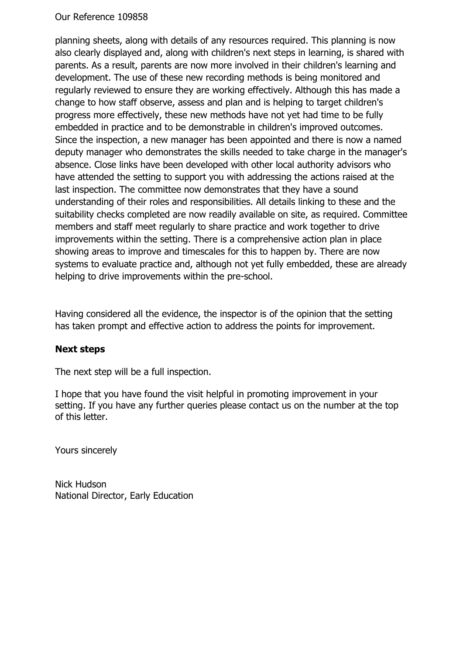#### Our Reference 109858

planning sheets, along with details of any resources required. This planning is now also clearly displayed and, along with children's next steps in learning, is shared with parents. As a result, parents are now more involved in their children's learning and development. The use of these new recording methods is being monitored and regularly reviewed to ensure they are working effectively. Although this has made a change to how staff observe, assess and plan and is helping to target children's progress more effectively, these new methods have not yet had time to be fully embedded in practice and to be demonstrable in children's improved outcomes. Since the inspection, a new manager has been appointed and there is now a named deputy manager who demonstrates the skills needed to take charge in the manager's absence. Close links have been developed with other local authority advisors who have attended the setting to support you with addressing the actions raised at the last inspection. The committee now demonstrates that they have a sound understanding of their roles and responsibilities. All details linking to these and the suitability checks completed are now readily available on site, as required. Committee members and staff meet regularly to share practice and work together to drive improvements within the setting. There is a comprehensive action plan in place showing areas to improve and timescales for this to happen by. There are now systems to evaluate practice and, although not yet fully embedded, these are already helping to drive improvements within the pre-school.

Having considered all the evidence, the inspector is of the opinion that the setting has taken prompt and effective action to address the points for improvement.

## **Next steps**

The next step will be a full inspection.

I hope that you have found the visit helpful in promoting improvement in your setting. If you have any further queries please contact us on the number at the top of this letter.

Yours sincerely

Nick Hudson National Director, Early Education